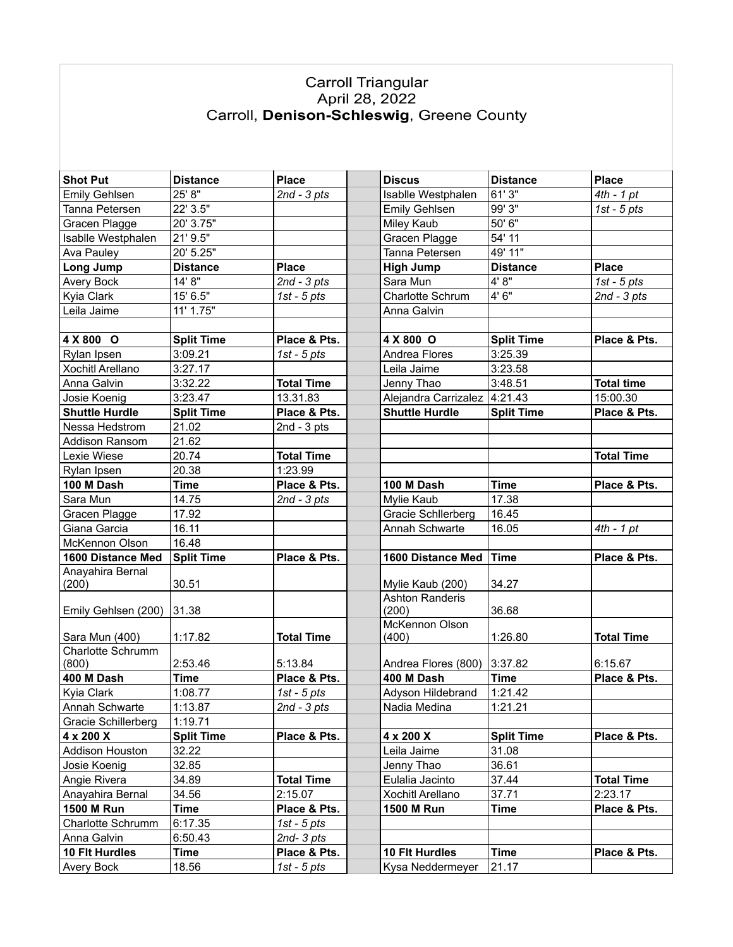## Carroll Triangular<br>April 28, 2022<br>Carroll, **Denison-Schleswig**, Greene County

| <b>Shot Put</b>         | <b>Distance</b>   | <b>Place</b>      | <b>Discus</b>            | <b>Distance</b>   | <b>Place</b>      |
|-------------------------|-------------------|-------------------|--------------------------|-------------------|-------------------|
| <b>Emily Gehlsen</b>    | 25' 8"            | $2nd - 3pts$      | Isablle Westphalen       | 61' 3"            | $4th - 1 pt$      |
| Tanna Petersen          | 22' 3.5"          |                   | <b>Emily Gehlsen</b>     | 99' 3"            | $1st - 5pts$      |
| Gracen Plagge           | 20' 3.75"         |                   | Miley Kaub               | 50' 6"            |                   |
| Isablle Westphalen      | 21' 9.5"          |                   | Gracen Plagge            | 54' 11            |                   |
| Ava Pauley              | 20' 5.25"         |                   | Tanna Petersen           | 49' 11"           |                   |
| Long Jump               | <b>Distance</b>   | <b>Place</b>      | <b>High Jump</b>         | <b>Distance</b>   | <b>Place</b>      |
| Avery Bock              | 14' 8"            | 2nd - 3 pts       | Sara Mun                 | 4'8"              | 1st - $5$ pts     |
| Kyia Clark              | 15' 6.5"          | 1st - $5$ pts     | Charlotte Schrum         | 4'6"              | 2nd - 3 pts       |
| Leila Jaime             | 11' 1.75"         |                   | Anna Galvin              |                   |                   |
|                         |                   |                   |                          |                   |                   |
| 4 X 800 O               | <b>Split Time</b> | Place & Pts.      | 4 X 800 O                | <b>Split Time</b> | Place & Pts.      |
| Rylan Ipsen             | 3:09.21           | 1st - $5$ pts     | Andrea Flores            | 3:25.39           |                   |
| <b>Xochitl Arellano</b> | 3:27.17           |                   | Leila Jaime              | 3:23.58           |                   |
| Anna Galvin             | 3:32.22           | <b>Total Time</b> | Jenny Thao               | 3:48.51           | <b>Total time</b> |
| Josie Koenig            | 3:23.47           | 13.31.83          | Alejandra Carrizalez     | 4:21.43           | 15:00.30          |
| <b>Shuttle Hurdle</b>   | <b>Split Time</b> | Place & Pts.      | <b>Shuttle Hurdle</b>    | <b>Split Time</b> | Place & Pts.      |
| Nessa Hedstrom          | 21.02             | 2nd - $3$ pts     |                          |                   |                   |
| <b>Addison Ransom</b>   | 21.62             |                   |                          |                   |                   |
| Lexie Wiese             | 20.74             | <b>Total Time</b> |                          |                   | <b>Total Time</b> |
| Rylan Ipsen             | 20.38             | 1:23.99           |                          |                   |                   |
| 100 M Dash              | <b>Time</b>       | Place & Pts.      | 100 M Dash               | <b>Time</b>       | Place & Pts.      |
| Sara Mun                | 14.75             | $2nd - 3pts$      | Mylie Kaub               | 17.38             |                   |
| Gracen Plagge           | 17.92             |                   | Gracie Schllerberg       | 16.45             |                   |
| Giana Garcia            | 16.11             |                   | Annah Schwarte           | 16.05             | $4th - 1 pt$      |
| McKennon Olson          | 16.48             |                   |                          |                   |                   |
| 1600 Distance Med       | <b>Split Time</b> | Place & Pts.      | 1600 Distance Med   Time |                   | Place & Pts.      |
| Anayahira Bernal        |                   |                   |                          |                   |                   |
| (200)                   | 30.51             |                   | Mylie Kaub (200)         | 34.27             |                   |
|                         |                   |                   | <b>Ashton Randeris</b>   |                   |                   |
| Emily Gehlsen (200)     | 31.38             |                   | (200)<br>McKennon Olson  | 36.68             |                   |
| Sara Mun (400)          | 1:17.82           | <b>Total Time</b> | (400)                    | 1:26.80           | <b>Total Time</b> |
| Charlotte Schrumm       |                   |                   |                          |                   |                   |
| (800)                   | 2:53.46           | 5:13.84           | Andrea Flores (800)      | 3:37.82           | 6:15.67           |
| 400 M Dash              | <b>Time</b>       | Place & Pts.      | 400 M Dash               | <b>Time</b>       | Place & Pts.      |
| Kyia Clark              | 1:08.77           | 1st - $5$ pts     | Adyson Hildebrand        | 1:21.42           |                   |
| Annah Schwarte          | 1:13.87           | $2nd - 3pts$      | Nadia Medina             | 1:21.21           |                   |
| Gracie Schillerberg     | 1:19.71           |                   |                          |                   |                   |
| 4 x 200 X               | <b>Split Time</b> | Place & Pts.      | 4 x 200 X                | <b>Split Time</b> | Place & Pts.      |
| Addison Houston         | 32.22             |                   | Leila Jaime              | 31.08             |                   |
| Josie Koenig            | 32.85             |                   | Jenny Thao               | 36.61             |                   |
| Angie Rivera            | 34.89             | <b>Total Time</b> | Eulalia Jacinto          | 37.44             | <b>Total Time</b> |
| Anayahira Bernal        | 34.56             | 2:15.07           | Xochitl Arellano         | 37.71             | 2:23.17           |
| 1500 M Run              | <b>Time</b>       | Place & Pts.      | 1500 M Run               | <b>Time</b>       | Place & Pts.      |
| Charlotte Schrumm       | 6:17.35           | 1st - $5$ pts     |                          |                   |                   |
| Anna Galvin             | 6:50.43           | $2nd-3pts$        |                          |                   |                   |
| 10 Flt Hurdles          | <b>Time</b>       | Place & Pts.      | 10 Flt Hurdles           | <b>Time</b>       | Place & Pts.      |
| <b>Avery Bock</b>       | 18.56             | 1st - $5$ pts     | Kysa Neddermeyer         | 21.17             |                   |